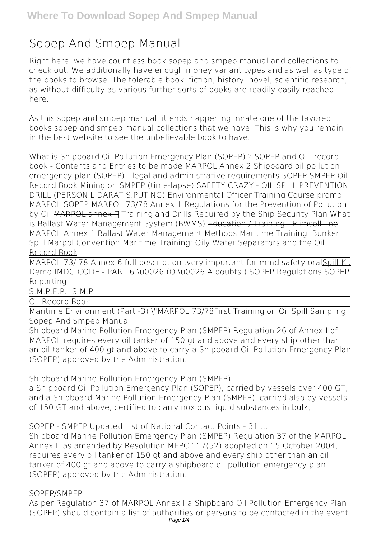# **Sopep And Smpep Manual**

Right here, we have countless book **sopep and smpep manual** and collections to check out. We additionally have enough money variant types and as well as type of the books to browse. The tolerable book, fiction, history, novel, scientific research, as without difficulty as various further sorts of books are readily easily reached here.

As this sopep and smpep manual, it ends happening innate one of the favored books sopep and smpep manual collections that we have. This is why you remain in the best website to see the unbelievable book to have.

*What is Shipboard Oil Pollution Emergency Plan (SOPEP) ?* SOPEP and OIL record book - Contents and Entries to be made MARPOL Annex 2 *Shipboard oil pollution emergency plan (SOPEP) - legal and administrative requirements* SOPEP SMPEP *Oil Record Book* Mining on SMPEP (time-lapse) SAFETY CRAZY - OIL SPILL PREVENTION DRILL (PERSONIL DARAT S.PUTING) *Environmental Officer Training Course promo MARPOL SOPEP MARPOL 73/78 Annex 1 Regulations for the Prevention of Pollution* by Oil MARPOL annex **H** Training and Drills Required by the Ship Security Plan What *is Ballast Water Management System (BWMS)* Education / Training - Plimsoll line **MARPOL Annex 1 Ballast Water Management Methods** Maritime Training: Bunker Spill Marpol Convention Maritime Training: Oily Water Separators and the Oil Record Book

MARPOL 73/ 78 Annex 6 full description ,very important for mmd safety oralSpill Kit Demo **IMDG CODE - PART 6 \u0026 (Q \u0026 A doubts )** SOPEP Regulations SOPEP Reporting

S.M.P.E.P.- S.M.P.

Oil Record Book

Maritime Environment (Part -3) \"MARPOL 73/78**First Training on Oil Spill Sampling Sopep And Smpep Manual**

Shipboard Marine Pollution Emergency Plan (SMPEP) Regulation 26 of Annex I of MARPOL requires every oil tanker of 150 gt and above and every ship other than an oil tanker of 400 gt and above to carry a Shipboard Oil Pollution Emergency Plan (SOPEP) approved by the Administration.

**Shipboard Marine Pollution Emergency Plan (SMPEP)**

a Shipboard Oil Pollution Emergency Plan (SOPEP), carried by vessels over 400 GT, and a Shipboard Marine Pollution Emergency Plan (SMPEP), carried also by vessels of 150 GT and above, certified to carry noxious liquid substances in bulk,

**SOPEP - SMPEP Updated List of National Contact Points - 31 ...**

Shipboard Marine Pollution Emergency Plan (SMPEP) Regulation 37 of the MARPOL Annex I, as amended by Resolution MEPC 117(52) adopted on 15 October 2004, requires every oil tanker of 150 gt and above and every ship other than an oil tanker of 400 gt and above to carry a shipboard oil pollution emergency plan (SOPEP) approved by the Administration.

### **SOPEP/SMPEP**

As per Regulation 37 of MARPOL Annex I a Shipboard Oil Pollution Emergency Plan (SOPEP) should contain a list of authorities or persons to be contacted in the event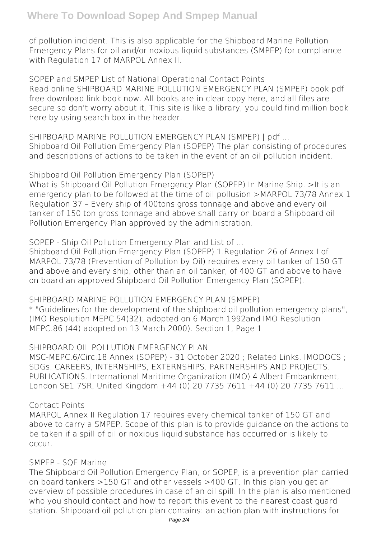of pollution incident. This is also applicable for the Shipboard Marine Pollution Emergency Plans for oil and/or noxious liquid substances (SMPEP) for compliance with Regulation 17 of MARPOL Annex II.

**SOPEP and SMPEP List of National Operational Contact Points** Read online SHIPBOARD MARINE POLLUTION EMERGENCY PLAN (SMPEP) book pdf free download link book now. All books are in clear copy here, and all files are secure so don't worry about it. This site is like a library, you could find million book here by using search box in the header.

**SHIPBOARD MARINE POLLUTION EMERGENCY PLAN (SMPEP) | pdf ...** Shipboard Oil Pollution Emergency Plan (SOPEP) The plan consisting of procedures and descriptions of actions to be taken in the event of an oil pollution incident.

**Shipboard Oil Pollution Emergency Plan (SOPEP)**

What is Shipboard Oil Pollution Emergency Plan (SOPEP) In Marine Ship. >It is an emergency plan to be followed at the time of oil pollusion >MARPOL 73/78 Annex 1 Regulation 37 – Every ship of 400tons gross tonnage and above and every oil tanker of 150 ton gross tonnage and above shall carry on board a Shipboard oil Pollution Emergency Plan approved by the administration.

**SOPEP - Ship Oil Pollution Emergency Plan and List of ...**

Shipboard Oil Pollution Emergency Plan (SOPEP) 1.Regulation 26 of Annex I of MARPOL 73/78 (Prevention of Pollution by Oil) requires every oil tanker of 150 GT and above and every ship, other than an oil tanker, of 400 GT and above to have on board an approved Shipboard Oil Pollution Emergency Plan (SOPEP).

**SHIPBOARD MARINE POLLUTION EMERGENCY PLAN (SMPEP)**

\* "Guidelines for the development of the shipboard oil pollution emergency plans", (IMO Resolution MEPC.54(32); adopted on 6 March 1992and IMO Resolution MEPC.86 (44) adopted on 13 March 2000). Section 1, Page 1

### **SHIPBOARD OIL POLLUTION EMERGENCY PLAN**

MSC-MEPC.6/Circ.18 Annex (SOPEP) - 31 October 2020 ; Related Links. IMODOCS ; SDGs. CAREERS, INTERNSHIPS, EXTERNSHIPS. PARTNERSHIPS AND PROJECTS. PUBLICATIONS. International Maritime Organization (IMO) 4 Albert Embankment, London SE1 7SR, United Kingdom +44 (0) 20 7735 7611 +44 (0) 20 7735 7611 ...

### **Contact Points**

MARPOL Annex II Regulation 17 requires every chemical tanker of 150 GT and above to carry a SMPEP. Scope of this plan is to provide guidance on the actions to be taken if a spill of oil or noxious liquid substance has occurred or is likely to occur.

### **SMPEP - SQE Marine**

The Shipboard Oil Pollution Emergency Plan, or SOPEP, is a prevention plan carried on board tankers >150 GT and other vessels >400 GT. In this plan you get an overview of possible procedures in case of an oil spill. In the plan is also mentioned who you should contact and how to report this event to the nearest coast guard station. Shipboard oil pollution plan contains: an action plan with instructions for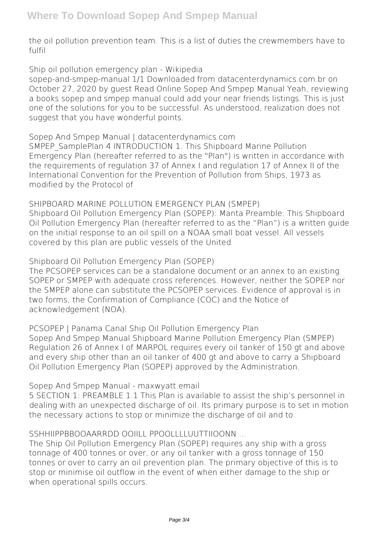the oil pollution prevention team. This is a list of duties the crewmembers have to fulfil

**Ship oil pollution emergency plan - Wikipedia** sopep-and-smpep-manual 1/1 Downloaded from datacenterdynamics.com.br on October 27, 2020 by guest Read Online Sopep And Smpep Manual Yeah, reviewing a books sopep and smpep manual could add your near friends listings. This is just one of the solutions for you to be successful. As understood, realization does not suggest that you have wonderful points.

**Sopep And Smpep Manual | datacenterdynamics.com** SMPEP\_SamplePlan 4 INTRODUCTION 1. This Shipboard Marine Pollution Emergency Plan (hereafter referred to as the "Plan") is written in accordance with the requirements of regulation 37 of Annex I and regulation 17 of Annex II of the International Convention for the Prevention of Pollution from Ships, 1973 as modified by the Protocol of

**SHIPBOARD MARINE POLLUTION EMERGENCY PLAN (SMPEP)** Shipboard Oil Pollution Emergency Plan (SOPEP): Manta Preamble: This Shipboard Oil Pollution Emergency Plan (hereafter referred to as the "Plan") is a written guide on the initial response to an oil spill on a NOAA small boat vessel. All vessels covered by this plan are public vessels of the United

**Shipboard Oil Pollution Emergency Plan (SOPEP)**

The PCSOPEP services can be a standalone document or an annex to an existing SOPEP or SMPEP with adequate cross references. However, neither the SOPEP nor the SMPEP alone can substitute the PCSOPEP services. Evidence of approval is in two forms, the Confirmation of Compliance (COC) and the Notice of acknowledgement (NOA).

**PCSOPEP | Panama Canal Ship Oil Pollution Emergency Plan** Sopep And Smpep Manual Shipboard Marine Pollution Emergency Plan (SMPEP) Regulation 26 of Annex I of MARPOL requires every oil tanker of 150 gt and above and every ship other than an oil tanker of 400 gt and above to carry a Shipboard Oil Pollution Emergency Plan (SOPEP) approved by the Administration.

**Sopep And Smpep Manual - maxwyatt.email**

5 SECTION 1: PREAMBLE 1.1 This Plan is available to assist the ship's personnel in dealing with an unexpected discharge of oil. Its primary purpose is to set in motion the necessary actions to stop or minimize the discharge of oil and to

**SSHHIIPPBBOOAARRDD OOIILL PPOOLLLLUUTTIIOONN ...**

The Ship Oil Pollution Emergency Plan (SOPEP) requires any ship with a gross tonnage of 400 tonnes or over, or any oil tanker with a gross tonnage of 150 tonnes or over to carry an oil prevention plan. The primary objective of this is to stop or minimise oil outflow in the event of when either damage to the ship or when operational spills occurs.